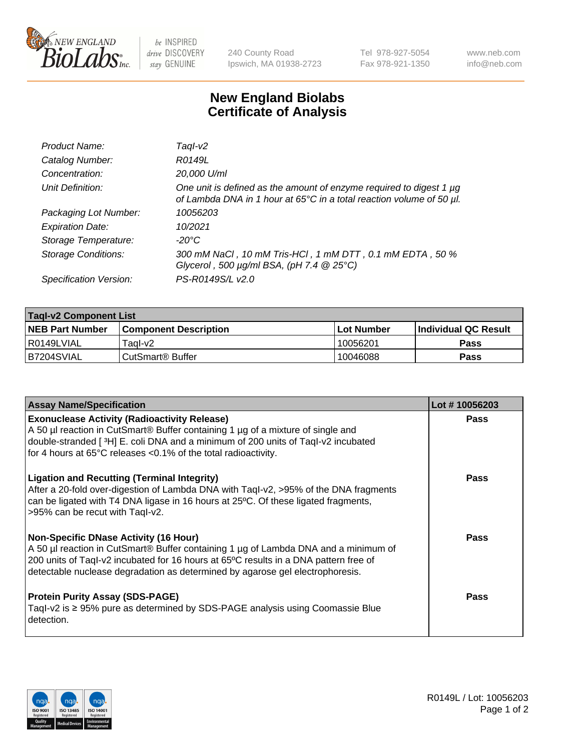

 $be$  INSPIRED drive DISCOVERY stay GENUINE

240 County Road Ipswich, MA 01938-2723 Tel 978-927-5054 Fax 978-921-1350 www.neb.com info@neb.com

## **New England Biolabs Certificate of Analysis**

| Product Name:              | Tagl-v2                                                                                                                                     |
|----------------------------|---------------------------------------------------------------------------------------------------------------------------------------------|
| Catalog Number:            | R0149L                                                                                                                                      |
| Concentration:             | 20,000 U/ml                                                                                                                                 |
| Unit Definition:           | One unit is defined as the amount of enzyme required to digest 1 µg<br>of Lambda DNA in 1 hour at 65°C in a total reaction volume of 50 µl. |
| Packaging Lot Number:      | 10056203                                                                                                                                    |
| <b>Expiration Date:</b>    | 10/2021                                                                                                                                     |
| Storage Temperature:       | $-20^{\circ}$ C                                                                                                                             |
| <b>Storage Conditions:</b> | 300 mM NaCl, 10 mM Tris-HCl, 1 mM DTT, 0.1 mM EDTA, 50 %<br>Glycerol, 500 $\mu$ g/ml BSA, (pH 7.4 $@$ 25°C)                                 |
| Specification Version:     | PS-R0149S/L v2.0                                                                                                                            |

| <b>Tagl-v2 Component List</b> |                              |            |                             |  |  |
|-------------------------------|------------------------------|------------|-----------------------------|--|--|
| <b>NEB Part Number</b>        | <b>Component Description</b> | Lot Number | <b>Individual QC Result</b> |  |  |
| I R0149LVIAL                  | Taɑl-v2                      | 10056201   | <b>Pass</b>                 |  |  |
| B7204SVIAL                    | ⊧CutSmart® Buffer            | 10046088   | Pass                        |  |  |

| <b>Assay Name/Specification</b>                                                                                                                                                                                                                                                                              | Lot #10056203 |
|--------------------------------------------------------------------------------------------------------------------------------------------------------------------------------------------------------------------------------------------------------------------------------------------------------------|---------------|
| <b>Exonuclease Activity (Radioactivity Release)</b><br>A 50 µl reaction in CutSmart® Buffer containing 1 µg of a mixture of single and<br>double-stranded [3H] E. coli DNA and a minimum of 200 units of Taql-v2 incubated<br>for 4 hours at 65°C releases <0.1% of the total radioactivity.                 | Pass          |
| <b>Ligation and Recutting (Terminal Integrity)</b><br>After a 20-fold over-digestion of Lambda DNA with Taql-v2, >95% of the DNA fragments<br>can be ligated with T4 DNA ligase in 16 hours at 25°C. Of these ligated fragments,<br>>95% can be recut with Tagl-v2.                                          | <b>Pass</b>   |
| <b>Non-Specific DNase Activity (16 Hour)</b><br>A 50 µl reaction in CutSmart® Buffer containing 1 µg of Lambda DNA and a minimum of<br>200 units of Taql-v2 incubated for 16 hours at 65°C results in a DNA pattern free of<br>detectable nuclease degradation as determined by agarose gel electrophoresis. | Pass          |
| <b>Protein Purity Assay (SDS-PAGE)</b><br>Taql-v2 is $\geq$ 95% pure as determined by SDS-PAGE analysis using Coomassie Blue<br>detection.                                                                                                                                                                   | Pass          |